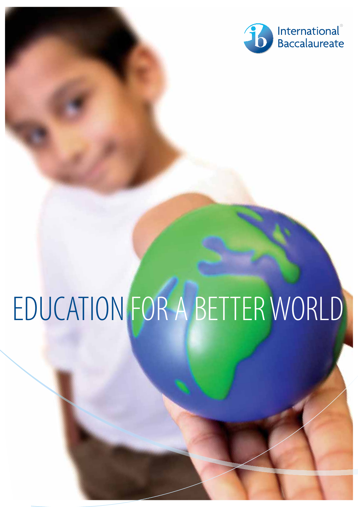

# EDUCATION FOR A BETTER WORLD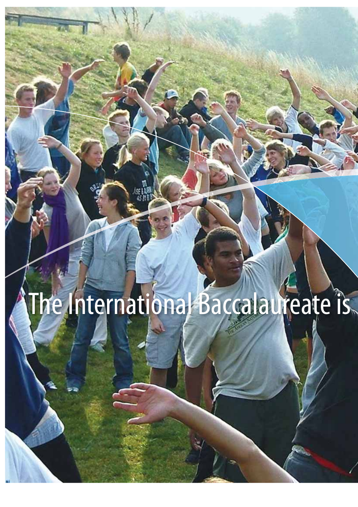### The International Baccalaureate is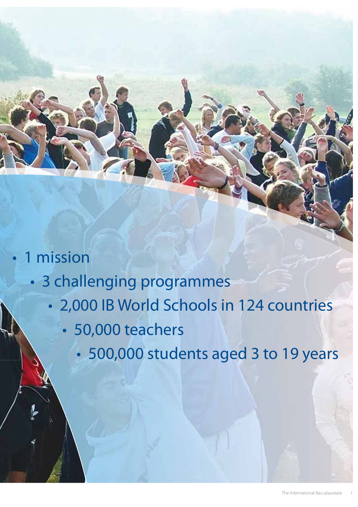- 1 mission • 3 challenging programmes • 2,000 IB World Schools in 124 countries
	- 50,000 teachers
		- 500,000 students aged 3 to 19 years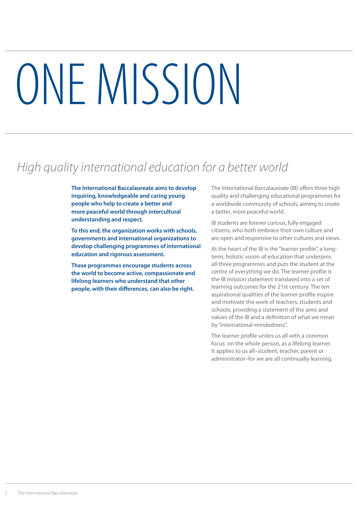# ONE MISSION

### High quality international education for a better world

**The International Baccalaureate aims to develop inquiring, knowledgeable and caring young people who help to create a better and more peaceful world through intercultural understanding and respect.** 

**To this end, the organization works with schools, governments and international organizations to develop challenging programmes of international education and rigorous assessment.** 

**These programmes encourage students across the world to become active, compassionate and lifelong learners who understand that other**  people, with their differences, can also be right.

The International Baccalaureate (IB) offers three high quality and challenging educational programmes for a worldwide community of schools, aiming to create a better, more peaceful world.

IB students are forever curious, fully engaged citizens, who both embrace their own culture and are open and responsive to other cultures and views.

At the heart of the IB is the "learner profile", a longterm, holistic vision of education that underpins all three programmes and puts the student at the centre of everything we do. The learner profile is the IB mission statement translated into a set of learning outcomes for the 21st century. The ten aspirational qualities of the learner profile inspire and motivate the work of teachers, students and schools, providing a statement of the aims and values of the IB and a definition of what we mean by "international-mindedness".

The learner profile unites us all with a common focus: on the whole person, as a lifelong learner. It applies to us all–student, teacher, parent or administrator–for we are all continually learning.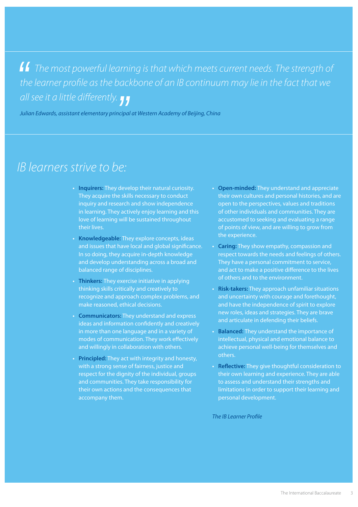If The most powerful learning is that which meets current needs. The strength of the learner profile as the backbone of an IB continuum may lie in the fact that we all see it a little differently. *th*<br>*all "*

Julian Edwards, assistant elementary principal at Western Academy of Beijing, China

#### IB learners strive to be:

- **Inquirers:** They develop their natural curiosity. They acquire the skills necessary to conduct inquiry and research and show independence in learning. They actively enjoy learning and this love of learning will be sustained throughout their lives.
- **Knowledgeable:** They explore concepts, ideas and issues that have local and global significance. In so doing, they acquire in-depth knowledge and develop understanding across a broad and balanced range of disciplines.
- **Thinkers:** They exercise initiative in applying thinking skills critically and creatively to recognize and approach complex problems, and make reasoned, ethical decisions.
- **Communicators:** They understand and express ideas and information confidently and creatively in more than one language and in a variety of modes of communication. They work effectively and willingly in collaboration with others.
- **Principled:** They act with integrity and honesty, with a strong sense of fairness, justice and respect for the dignity of the individual, groups and communities. They take responsibility for their own actions and the consequences that accompany them.
- **Open-minded:** They understand and appreciate their own cultures and personal histories, and are open to the perspectives, values and traditions of other individuals and communities. They are accustomed to seeking and evaluating a range of points of view, and are willing to grow from the experience.
- **Caring:** They show empathy, compassion and respect towards the needs and feelings of others. They have a personal commitment to service, and act to make a positive difference to the lives of others and to the environment.
- **Risk-takers:** They approach unfamiliar situations and uncertainty with courage and forethought, and have the independence of spirit to explore new roles, ideas and strategies. They are brave and articulate in defending their beliefs.
- **Balanced:** They understand the importance of intellectual, physical and emotional balance to achieve personal well-being for themselves and others.
- **Reflective:** They give thoughtful consideration to their own learning and experience. They are able to assess and understand their strengths and limitations in order to support their learning and personal development.

The IB Learner Profile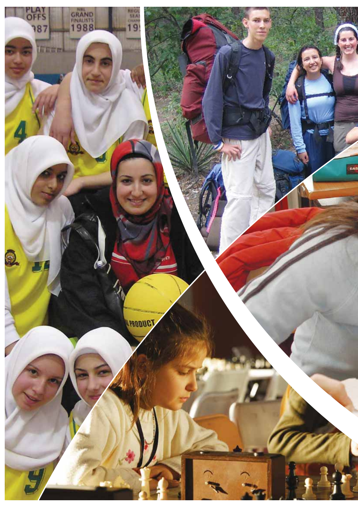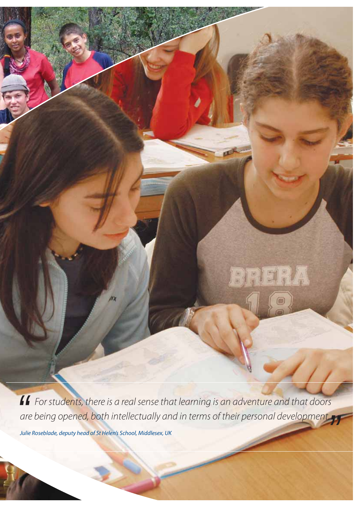If For students, there is a real sense that learning is an adventure and that doors are being opened, both intellectually and in terms of their personal development. |<br>| are<br>| <sup>| | |</sup> *"*

BRERA

Julie Roseblade, deputy head of St Helen's School, Middlesex, UK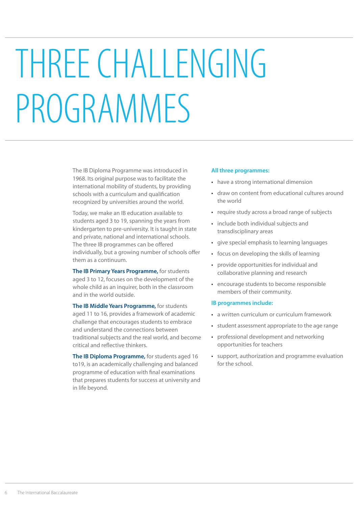## THRFF CHALLENGING PROGRAMMES

The IB Diploma Programme was introduced in 1968. Its original purpose was to facilitate the international mobility of students, by providing schools with a curriculum and qualification recognized by universities around the world.

Today, we make an IB education available to students aged 3 to 19, spanning the years from kindergarten to pre-university. It is taught in state and private, national and international schools. The three IB programmes can be offered individually, but a growing number of schools offer them as a continuum.

**The IB Primary Years Programme,** for students aged 3 to 12, focuses on the development of the whole child as an inquirer, both in the classroom and in the world outside.

**The IB Middle Years Programme,** for students aged 11 to 16, provides a framework of academic challenge that encourages students to embrace and understand the connections between traditional subjects and the real world, and become critical and reflective thinkers.

**The IB Diploma Programme,** for students aged 16 to19, is an academically challenging and balanced programme of education with final examinations that prepares students for success at university and in life beyond.

#### **All three programmes:**

- have a strong international dimension
- draw on content from educational cultures around the world
- require study across a broad range of subjects
- include both individual subjects and transdisciplinary areas
- give special emphasis to learning languages
- focus on developing the skills of learning
- provide opportunities for individual and collaborative planning and research
- encourage students to become responsible members of their community.

#### **IB programmes include:**

- a written curriculum or curriculum framework
- student assessment appropriate to the age range
- professional development and networking opportunities for teachers
- support, authorization and programme evaluation for the school.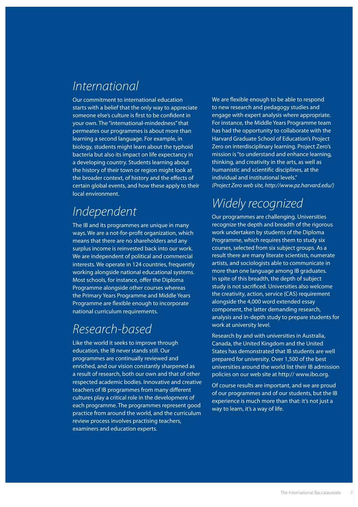#### International

Our commitment to international education starts with a belief that the only way to appreciate someone else's culture is first to be confident in your own. The "international-mindedness" that permeates our programmes is about more than learning a second language. For example, in biology, students might learn about the typhoid bacteria but also its impact on life expectancy in a developing country. Students learning about the history of their town or region might look at the broader context, of history and the effects of certain global events, and how these apply to their local environment.

### Independent

The IB and its programmes are unique in many ways. We are a not-for-profit organization, which means that there are no shareholders and any surplus income is reinvested back into our work. We are independent of political and commercial interests. We operate in 124 countries, frequently working alongside national educational systems. Most schools, for instance, offer the Diploma Programme alongside other courses whereas the Primary Years Programme and Middle Years Programme are flexible enough to incorporate national curriculum requirements.

#### Research-based

Like the world it seeks to improve through education, the IB never stands still. Our programmes are continually reviewed and enriched, and our vision constantly sharpened as a result of research, both our own and that of other respected academic bodies. Innovative and creative teachers of IB programmes from many different cultures play a critical role in the development of each programme. The programmes represent good practice from around the world, and the curriculum review process involves practising teachers, examiners and education experts.

We are flexible enough to be able to respond to new research and pedagogy studies and engage with expert analysis where appropriate. For instance, the Middle Years Programme team has had the opportunity to collaborate with the Harvard Graduate School of Education's Project Zero on interdisciplinary learning. Project Zero's mission is "to understand and enhance learning, thinking, and creativity in the arts, as well as humanistic and scientific disciplines, at the individual and institutional levels." (Project Zero web site, http://www.pz.harvard.edu/)

### Widely recognized

Our programmes are challenging. Universities recognize the depth and breadth of the rigorous work undertaken by students of the Diploma Programme, which requires them to study six courses, selected from six subject groups. As a result there are many literate scientists, numerate artists, and sociologists able to communicate in more than one language among IB graduates. In spite of this breadth, the depth of subject study is not sacrificed. Universities also welcome the creativity, action, service (CAS) requirement alongside the 4,000 word extended essay component, the latter demanding research, analysis and in-depth study to prepare students for work at university level.

Research by and with universities in Australia, Canada, the United Kingdom and the United States has demonstrated that IB students are well prepared for university. Over 1,500 of the best universities around the world list their IB admission policies on our web site at http:// www.ibo.org.

Of course results are important, and we are proud of our programmes and of our students, but the IB experience is much more than that: it's not just a way to learn, it's a way of life.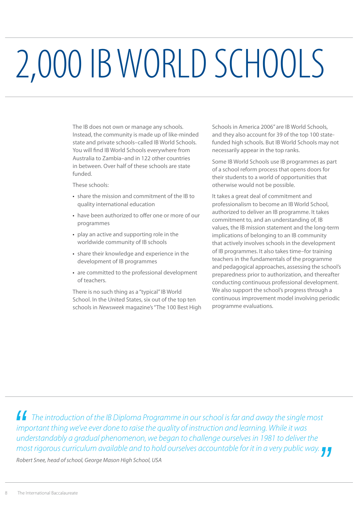# 2,000 IB WORLD SCHOOLS

The IB does not own or manage any schools. Instead, the community is made up of like-minded state and private schools–called IB World Schools. You will find IB World Schools everywhere from Australia to Zambia–and in 122 other countries in between. Over half of these schools are state funded.

These schools:

- share the mission and commitment of the IB to quality international education
- have been authorized to offer one or more of our programmes
- play an active and supporting role in the worldwide community of IB schools
- share their knowledge and experience in the development of IB programmes
- are committed to the professional development of teachers.

There is no such thing as a "typical" IB World School. In the United States, six out of the top ten schools in Newsweek magazine's "The 100 Best High Schools in America 2006" are IB World Schools, and they also account for 39 of the top 100 statefunded high schools. But IB World Schools may not necessarily appear in the top ranks.

Some IB World Schools use IB programmes as part of a school reform process that opens doors for their students to a world of opportunities that otherwise would not be possible.

It takes a great deal of commitment and professionalism to become an IB World School, authorized to deliver an IB programme. It takes commitment to, and an understanding of, IB values, the IB mission statement and the long-term implications of belonging to an IB community that actively involves schools in the development of IB programmes. It also takes time–for training teachers in the fundamentals of the programme and pedagogical approaches, assessing the school's preparedness prior to authorization, and thereafter conducting continuous professional development. We also support the school's progress through a continuous improvement model involving periodic programme evaluations.

The introduction of the IB Diploma Programme in our school is far and away the single most important thing we've ever done to raise the quality of instruction and learning. While it was understandably a gradual phenomenon, we began to challenge ourselves in 1981 to deliver the most rigorous curriculum available and to hold ourselves accountable for it in a very public way. *"* im<br>im<br>and

Robert Snee, head of school, George Mason High School, USA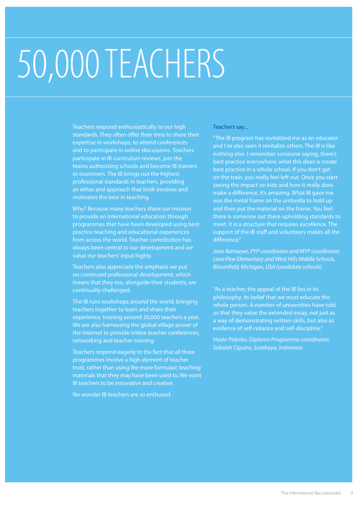### 50,000 TEACHERS

Teachers respond enthusiastically to our high standards. They often offer their time to share their expertise in workshops, to attend conferences and to participate in online discussions. Teachers participate in IB curriculum reviews, join the teams authorizing schools and become IB trainers or examiners. The IB brings out the highest professional standards in teachers, providing an ethos and approach that both involves and motivates the best in teaching.

Why? Because many teachers share our mission to provide an international education through programmes that have been developed using bestpractice teaching and educational experiences from across the world. Teacher contribution has always been central to our development and we value our teachers' input highly.

Teachers also appreciate the emphasis we put on continued professional development, which means that they too, alongside their students, are continually challenged.

The IB runs workshops around the world, bringing teachers together to learn and share their experience, training around 30,000 teachers a year. We are also harnessing the global village power of the Internet to provide online teacher conferences, networking and teacher training.

Teachers respond eagerly to the fact that all three programmes involve a high element of teacher trust, rather than using the more formulaic teaching materials that they may have been used to. We want IB teachers to be innovative and creative.

No wonder IB teachers are so enthused.

#### Teachers say...

"The IB program has revitalized me as an educator and I've also seen it revitalize others. The IB is like nothing else. I remember someone saying, there's best practice everywhere; what this does is create best practice in a whole school. If you don't get on the train, you really feel left out. Once you start seeing the impact on kids and how it really does make a difference, it's amazing. What IB gave me was the metal frame on the umbrella to hold up and then put the material on the frame. You feel there is someone out there upholding standards to meet. It is a structure that requires excellence. The support of the IB staff and volunteers makes all the difference."

Jean Ramseyer, PYP coordinator and MYP coordinator, Lone Pine Elementary and West Hills Middle Schools, Bloomfield, Michigan, USA (candidate schools)

"As a teacher, the appeal of the IB lies in its philosophy, its belief that we must educate the whole person. A number of universities have told us that they value the extended essay, not just as a way of demonstrating written skills, but also as evidence of self-reliance and self-discipline."

Hasto Pidesko, Diploma Programme coordinator, Sekolah Ciputra, Surabaya, Indonesia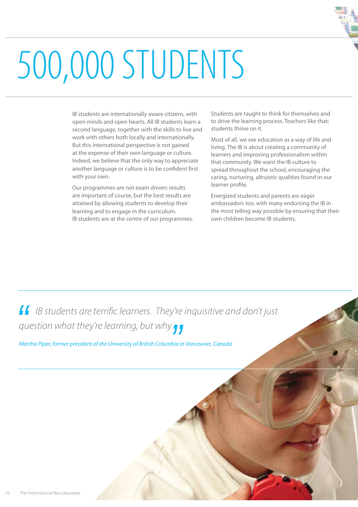## 500,000 STUDENTS

IB students are internationally aware citizens, with open minds and open hearts. All IB students learn a second language, together with the skills to live and work with others both locally and internationally. But this international perspective is not gained at the expense of their own language or culture. Indeed, we believe that the only way to appreciate another language or culture is to be confident first with your own.

Our programmes are not exam driven: results are important of course, but the best results are attained by allowing students to develop their learning and to engage in the curriculum. IB students are at the centre of our programmes. Students are taught to think for themselves and to drive the learning process. Teachers like that; students thrive on it.

Most of all, we see education as a way of life and living. The IB is about creating a community of learners and improving professionalism within that community. We want the IB culture to spread throughout the school, encouraging the caring, nurturing, altruistic qualities found in our learner profile.

Energized students and parents are eager ambassadors too, with many endorsing the IB in the most telling way possible by ensuring that their own children become IB students.

IIB students are terrific learners. They're inquisitive and don't just question what they're learning, but why |<br>|<br>|<br>|<br>| *|*<br>|<br>|<br>|<br>|

Martha Piper, former president of the University of British Columbia in Vancouver, Canada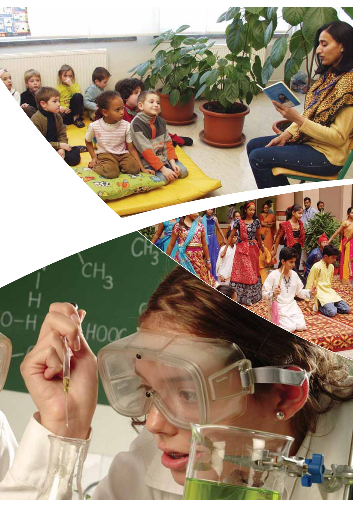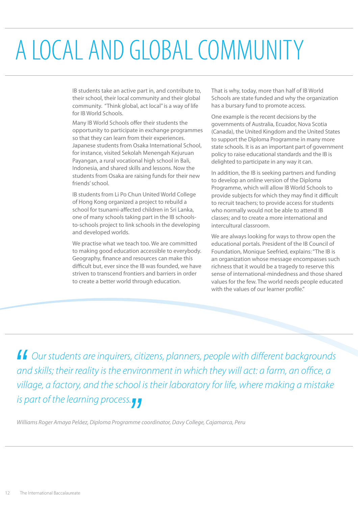### A LOCAL AND GLOBAL COMMUNITY

IB students take an active part in, and contribute to, their school, their local community and their global community. "Think global, act local" is a way of life for IB World Schools.

Many IB World Schools offer their students the opportunity to participate in exchange programmes so that they can learn from their experiences. Japanese students from Osaka International School, for instance, visited Sekolah Menengah Kejuruan Payangan, a rural vocational high school in Bali, Indonesia, and shared skills and lessons. Now the students from Osaka are raising funds for their new friends' school.

IB students from Li Po Chun United World College of Hong Kong organized a project to rebuild a school for tsunami-affected children in Sri Lanka, one of many schools taking part in the IB schoolsto-schools project to link schools in the developing and developed worlds.

We practise what we teach too. We are committed to making good education accessible to everybody. Geography, finance and resources can make this difficult but, ever since the IB was founded, we have striven to transcend frontiers and barriers in order to create a better world through education.

That is why, today, more than half of IB World Schools are state funded and why the organization has a bursary fund to promote access.

One example is the recent decisions by the governments of Australia, Ecuador, Nova Scotia (Canada), the United Kingdom and the United States to support the Diploma Programme in many more state schools. It is as an important part of government policy to raise educational standards and the IB is delighted to participate in any way it can.

In addition, the IB is seeking partners and funding to develop an online version of the Diploma Programme, which will allow IB World Schools to provide subjects for which they may find it difficult to recruit teachers; to provide access for students who normally would not be able to attend IB classes; and to create a more international and intercultural classroom.

We are always looking for ways to throw open the educational portals. President of the IB Council of Foundation, Monique Seefried, explains: "The IB is an organization whose message encompasses such richness that it would be a tragedy to reserve this sense of international-mindedness and those shared values for the few. The world needs people educated with the values of our learner profile."

//Our students are inquirers, citizens, planners, people with different backgrounds and skills; their reality is the environment in which they will act: a farm, an office, a village, a factory, and the school is their laboratory for life, where making a mistake **is part of the learning process.**<br>Williams Roger Amaya Peláez, Diploma Programme |<br>| an<br>| vili

Williams Roger Amaya Peláez, Diploma Programme coordinator, Davy College, Cajamarca, Peru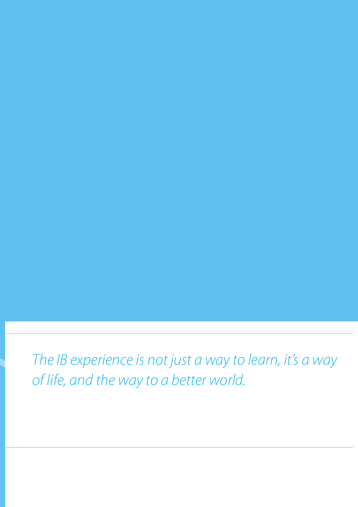The IB experience is not just a way to learn, it's a way of life, and the way to a better world.